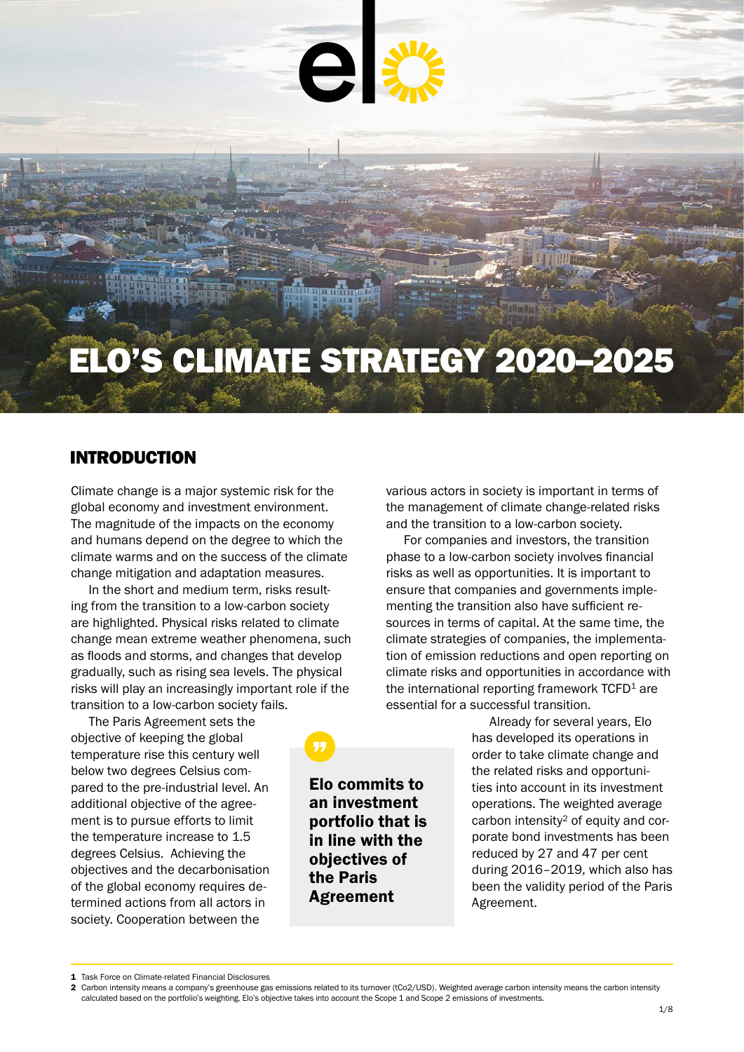

# ELO'S CLIMATE STRATEGY 2020–2025

## INTRODUCTION

Climate change is a major systemic risk for the global economy and investment environment. The magnitude of the impacts on the economy and humans depend on the degree to which the climate warms and on the success of the climate change mitigation and adaptation measures.

In the short and medium term, risks resulting from the transition to a low-carbon society are highlighted. Physical risks related to climate change mean extreme weather phenomena, such as floods and storms, and changes that develop gradually, such as rising sea levels. The physical risks will play an increasingly important role if the transition to a low-carbon society fails.

The Paris Agreement sets the objective of keeping the global temperature rise this century well below two degrees Celsius compared to the pre-industrial level. An additional objective of the agreement is to pursue efforts to limit the temperature increase to 1.5 degrees Celsius. Achieving the objectives and the decarbonisation of the global economy requires determined actions from all actors in society. Cooperation between the

Elo commits to an investment portfolio that is in line with the objectives of the Paris Agreement

various actors in society is important in terms of the management of climate change-related risks and the transition to a low-carbon society.

For companies and investors, the transition phase to a low-carbon society involves financial risks as well as opportunities. It is important to ensure that companies and governments implementing the transition also have sufficient resources in terms of capital. At the same time, the climate strategies of companies, the implementation of emission reductions and open reporting on climate risks and opportunities in accordance with the international reporting framework  $TCFD<sup>1</sup>$  are essential for a successful transition.

> Already for several years, Elo has developed its operations in order to take climate change and the related risks and opportunities into account in its investment operations. The weighted average carbon intensity<sup>2</sup> of equity and corporate bond investments has been reduced by 27 and 47 per cent during 2016–2019, which also has been the validity period of the Paris Agreement.

<sup>1</sup> Task Force on Climate-related Financial Disclosures

<sup>2</sup> Carbon intensity means a company's greenhouse gas emissions related to its turnover (tCo2/USD). Weighted average carbon intensity means the carbon intensity calculated based on the portfolio's weighting. Elo's objective takes into account the Scope 1 and Scope 2 emissions of investments.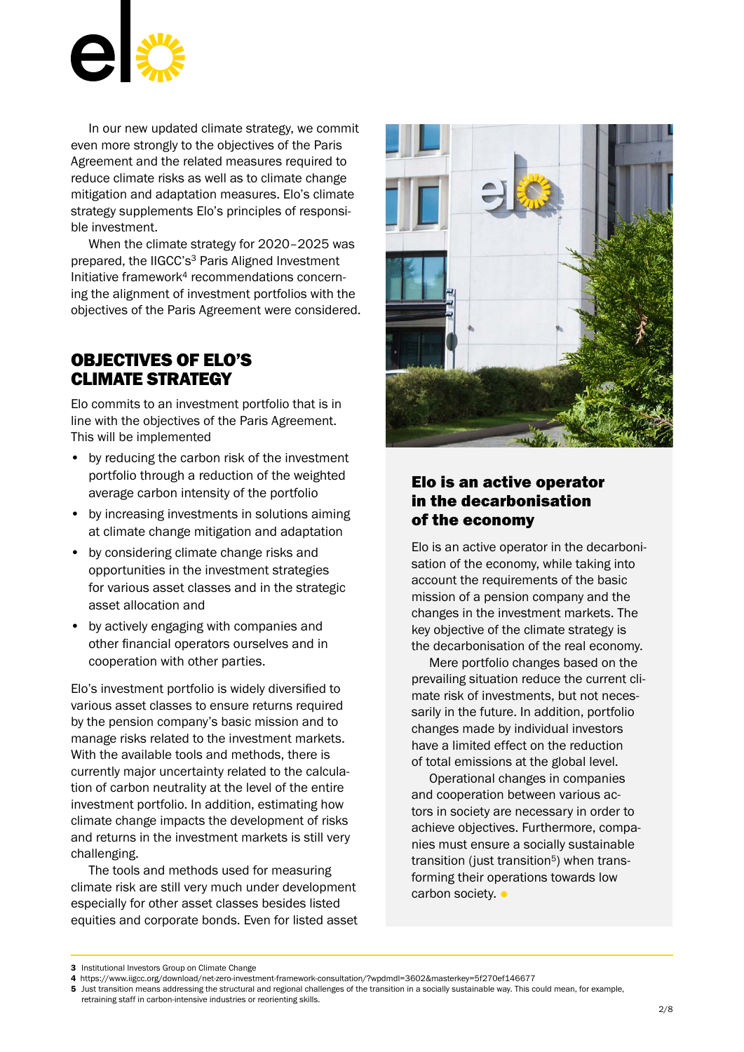

In our new updated climate strategy, we commit even more strongly to the objectives of the Paris Agreement and the related measures required to reduce climate risks as well as to climate change mitigation and adaptation measures. Elo's climate strategy supplements Elo's principles of responsible investment.

When the climate strategy for 2020–2025 was prepared, the IIGCC's<sup>3</sup> Paris Aligned Investment Initiative framework4 recommendations concerning the alignment of investment portfolios with the objectives of the Paris Agreement were considered.

## OBJECTIVES OF ELO'S CLIMATE STRATEGY

Elo commits to an investment portfolio that is in line with the objectives of the Paris Agreement. This will be implemented

- by reducing the carbon risk of the investment portfolio through a reduction of the weighted average carbon intensity of the portfolio
- by increasing investments in solutions aiming at climate change mitigation and adaptation
- by considering climate change risks and opportunities in the investment strategies for various asset classes and in the strategic asset allocation and
- by actively engaging with companies and other financial operators ourselves and in cooperation with other parties.

Elo's investment portfolio is widely diversified to various asset classes to ensure returns required by the pension company's basic mission and to manage risks related to the investment markets. With the available tools and methods, there is currently major uncertainty related to the calculation of carbon neutrality at the level of the entire investment portfolio. In addition, estimating how climate change impacts the development of risks and returns in the investment markets is still very challenging.

The tools and methods used for measuring climate risk are still very much under development especially for other asset classes besides listed equities and corporate bonds. Even for listed asset



## Elo is an active operator in the decarbonisation of the economy

Elo is an active operator in the decarbonisation of the economy, while taking into account the requirements of the basic mission of a pension company and the changes in the investment markets. The key objective of the climate strategy is the decarbonisation of the real economy.

Mere portfolio changes based on the prevailing situation reduce the current climate risk of investments, but not necessarily in the future. In addition, portfolio changes made by individual investors have a limited effect on the reduction of total emissions at the global level.

Operational changes in companies and cooperation between various actors in society are necessary in order to achieve objectives. Furthermore, companies must ensure a socially sustainable transition (just transition $5$ ) when transforming their operations towards low carbon society. •

<sup>3</sup> Institutional Investors Group on Climate Change

<sup>4</sup> <https://www.iigcc.org/download/net-zero-investment-framework-consultation/?wpdmdl=3602&masterkey=5f270ef146677>

<sup>5</sup> Just transition means addressing the structural and regional challenges of the transition in a socially sustainable way. This could mean, for example, retraining staff in carbon-intensive industries or reorienting skills.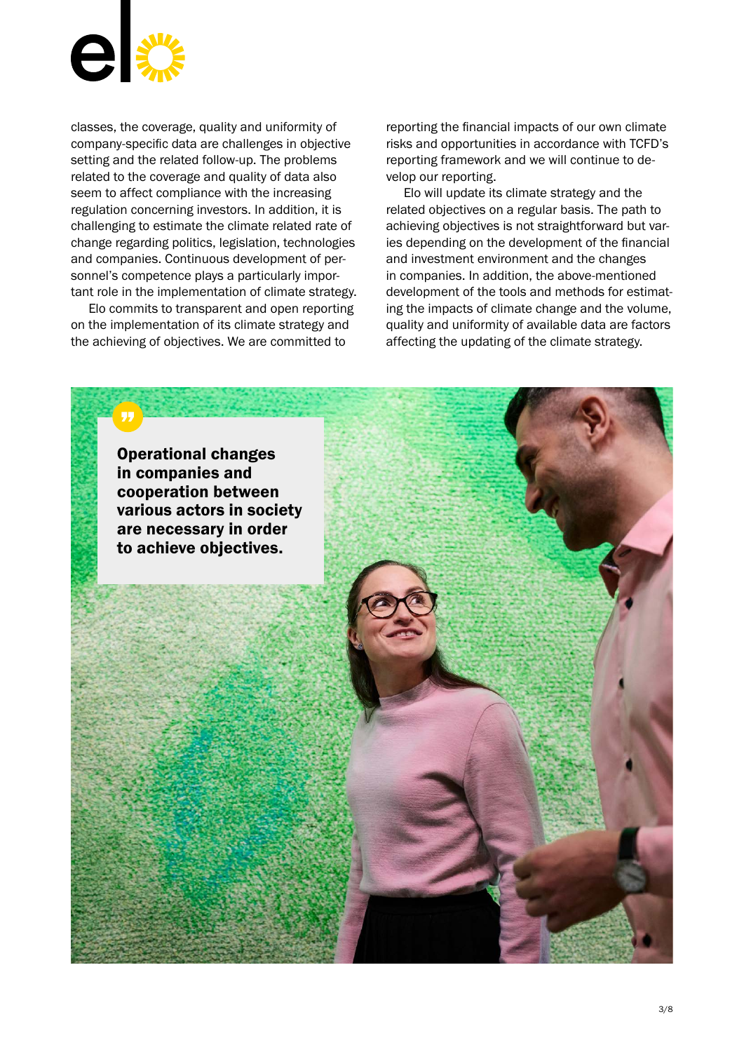

classes, the coverage, quality and uniformity of company-specific data are challenges in objective setting and the related follow-up. The problems related to the coverage and quality of data also seem to affect compliance with the increasing regulation concerning investors. In addition, it is challenging to estimate the climate related rate of change regarding politics, legislation, technologies and companies. Continuous development of personnel's competence plays a particularly important role in the implementation of climate strategy.

Elo commits to transparent and open reporting on the implementation of its climate strategy and the achieving of objectives. We are committed to

reporting the financial impacts of our own climate risks and opportunities in accordance with TCFD's reporting framework and we will continue to develop our reporting.

Elo will update its climate strategy and the related objectives on a regular basis. The path to achieving objectives is not straightforward but varies depending on the development of the financial and investment environment and the changes in companies. In addition, the above-mentioned development of the tools and methods for estimating the impacts of climate change and the volume, quality and uniformity of available data are factors affecting the updating of the climate strategy.

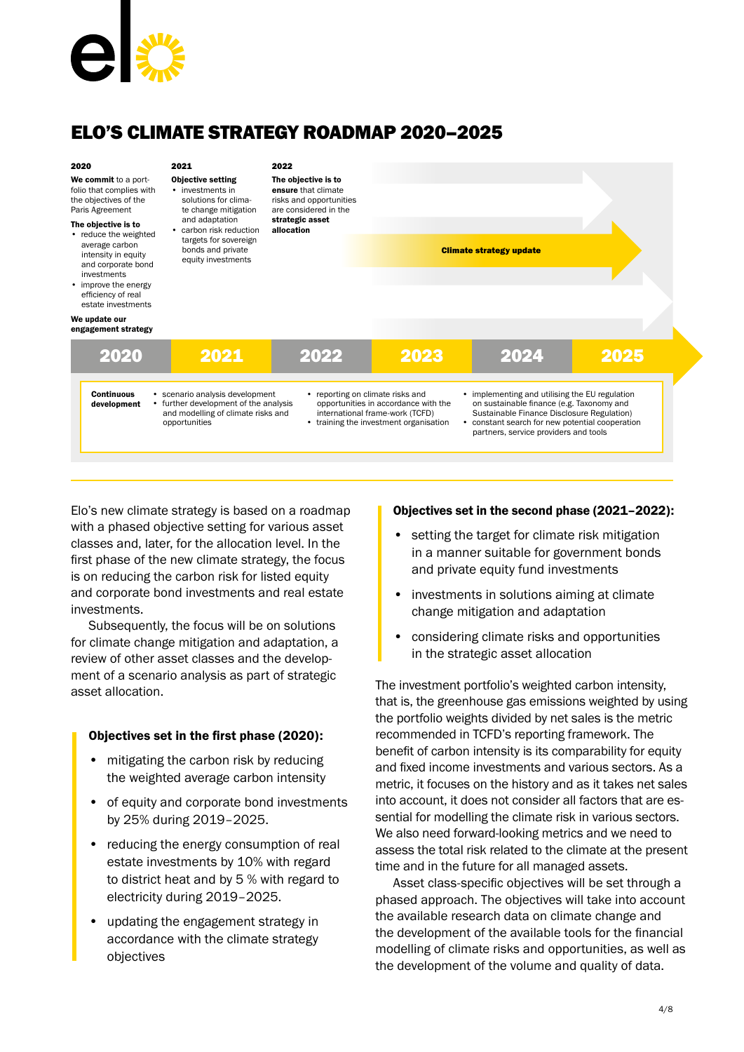![](_page_3_Picture_0.jpeg)

## ELO'S CLIMATE STRATEGY ROADMAP 2020–2025

| 2020<br>We commit to a port-<br>folio that complies with<br>the objectives of the<br>Paris Agreement<br>The objective is to<br>• reduce the weighted<br>average carbon<br>intensity in equity<br>and corporate bond<br>investments<br>• improve the energy<br>efficiency of real<br>estate investments<br>We update our | 2021<br><b>Objective setting</b><br>• investments in<br>solutions for clima-<br>te change mitigation<br>and adaptation<br>• carbon risk reduction<br>targets for sovereign<br>bonds and private<br>equity investments | 2022<br>The objective is to<br>ensure that climate<br>risks and opportunities<br>are considered in the<br>strategic asset<br>allocation |                                                                                                                           | <b>Climate strategy update</b>                                                                                                                                                                                                              |      |
|-------------------------------------------------------------------------------------------------------------------------------------------------------------------------------------------------------------------------------------------------------------------------------------------------------------------------|-----------------------------------------------------------------------------------------------------------------------------------------------------------------------------------------------------------------------|-----------------------------------------------------------------------------------------------------------------------------------------|---------------------------------------------------------------------------------------------------------------------------|---------------------------------------------------------------------------------------------------------------------------------------------------------------------------------------------------------------------------------------------|------|
| engagement strategy<br>2020<br><b>Continuous</b><br>development                                                                                                                                                                                                                                                         | 2021<br>• scenario analysis development<br>• further development of the analysis<br>and modelling of climate risks and<br>opportunities                                                                               | 2022<br>• reporting on climate risks and                                                                                                | 2023<br>opportunities in accordance with the<br>international frame-work (TCFD)<br>• training the investment organisation | 2024<br>• implementing and utilising the EU regulation<br>on sustainable finance (e.g. Taxonomy and<br>Sustainable Finance Disclosure Regulation)<br>constant search for new potential cooperation<br>partners, service providers and tools | 2025 |

Elo's new climate strategy is based on a roadmap with a phased objective setting for various asset classes and, later, for the allocation level. In the first phase of the new climate strategy, the focus is on reducing the carbon risk for listed equity and corporate bond investments and real estate investments.

Subsequently, the focus will be on solutions for climate change mitigation and adaptation, a review of other asset classes and the development of a scenario analysis as part of strategic asset allocation.

## Objectives set in the first phase (2020):

- mitigating the carbon risk by reducing the weighted average carbon intensity
- of equity and corporate bond investments by 25% during 2019–2025.
- reducing the energy consumption of real estate investments by 10% with regard to district heat and by 5 % with regard to electricity during 2019–2025.
- updating the engagement strategy in accordance with the climate strategy objectives

#### Objectives set in the second phase (2021–2022):

- setting the target for climate risk mitigation in a manner suitable for government bonds and private equity fund investments
- investments in solutions aiming at climate change mitigation and adaptation
- considering climate risks and opportunities in the strategic asset allocation

The investment portfolio's weighted carbon intensity, that is, the greenhouse gas emissions weighted by using the portfolio weights divided by net sales is the metric recommended in TCFD's reporting framework. The benefit of carbon intensity is its comparability for equity and fixed income investments and various sectors. As a metric, it focuses on the history and as it takes net sales into account, it does not consider all factors that are essential for modelling the climate risk in various sectors. We also need forward-looking metrics and we need to assess the total risk related to the climate at the present time and in the future for all managed assets.

Asset class-specific objectives will be set through a phased approach. The objectives will take into account the available research data on climate change and the development of the available tools for the financial modelling of climate risks and opportunities, as well as the development of the volume and quality of data.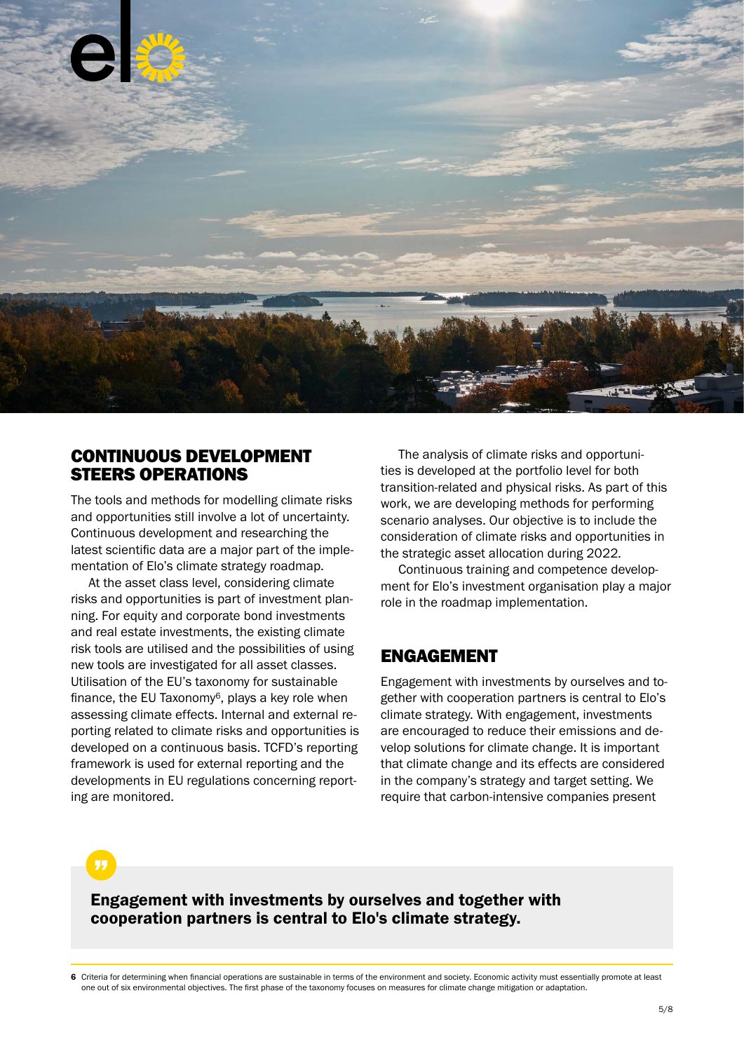![](_page_4_Picture_0.jpeg)

## CONTINUOUS DEVELOPMENT STEERS OPERATIONS

The tools and methods for modelling climate risks and opportunities still involve a lot of uncertainty. Continuous development and researching the latest scientific data are a major part of the implementation of Elo's climate strategy roadmap.

At the asset class level, considering climate risks and opportunities is part of investment planning. For equity and corporate bond investments and real estate investments, the existing climate risk tools are utilised and the possibilities of using new tools are investigated for all asset classes. Utilisation of the EU's taxonomy for sustainable finance, the EU Taxonomy $6$ , plays a key role when assessing climate effects. Internal and external reporting related to climate risks and opportunities is developed on a continuous basis. TCFD's reporting framework is used for external reporting and the developments in EU regulations concerning reporting are monitored.

The analysis of climate risks and opportunities is developed at the portfolio level for both transition-related and physical risks. As part of this work, we are developing methods for performing scenario analyses. Our objective is to include the consideration of climate risks and opportunities in the strategic asset allocation during 2022.

Continuous training and competence development for Elo's investment organisation play a major role in the roadmap implementation.

## ENGAGEMENT

Engagement with investments by ourselves and together with cooperation partners is central to Elo's climate strategy. With engagement, investments are encouraged to reduce their emissions and develop solutions for climate change. It is important that climate change and its effects are considered in the company's strategy and target setting. We require that carbon-intensive companies present

Engagement with investments by ourselves and together with cooperation partners is central to Elo's climate strategy.

6 Criteria for determining when financial operations are sustainable in terms of the environment and society. Economic activity must essentially promote at least one out of six environmental objectives. The first phase of the taxonomy focuses on measures for climate change mitigation or adaptation.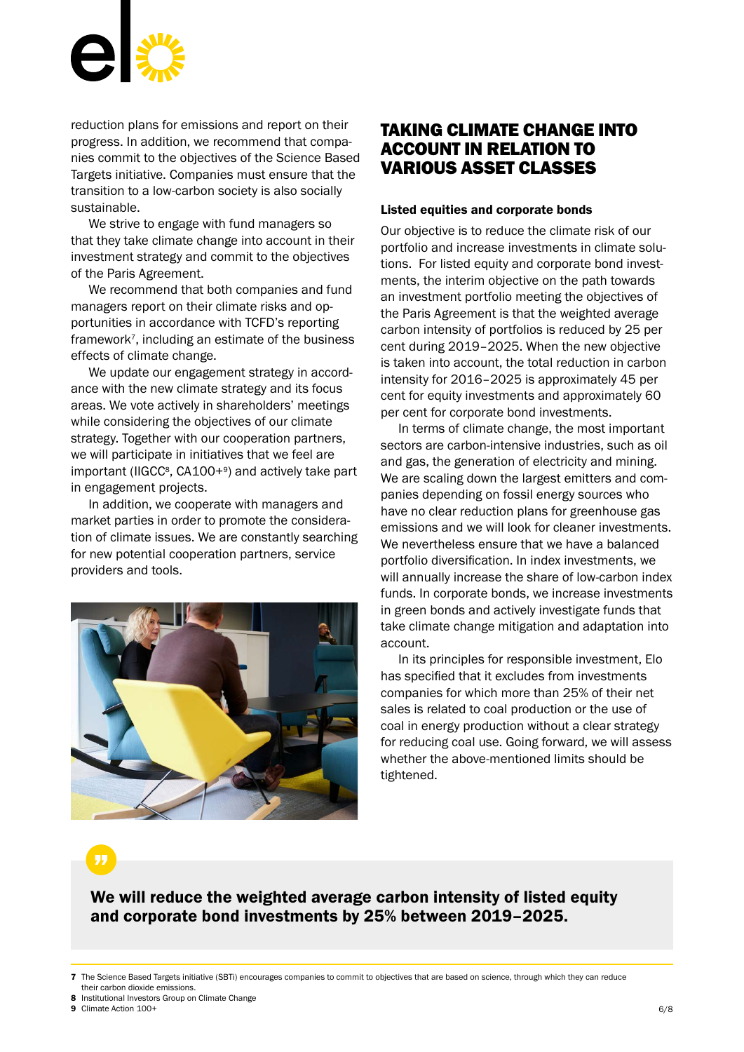![](_page_5_Picture_0.jpeg)

reduction plans for emissions and report on their progress. In addition, we recommend that companies commit to the objectives of the Science Based Targets initiative. Companies must ensure that the transition to a low-carbon society is also socially sustainable.

We strive to engage with fund managers so that they take climate change into account in their investment strategy and commit to the objectives of the Paris Agreement.

We recommend that both companies and fund managers report on their climate risks and opportunities in accordance with TCFD's reporting framework7, including an estimate of the business effects of climate change.

We update our engagement strategy in accordance with the new climate strategy and its focus areas. We vote actively in shareholders' meetings while considering the objectives of our climate strategy. Together with our cooperation partners, we will participate in initiatives that we feel are important (IIGCC<sup>8</sup>, CA100+<sup>9</sup>) and actively take part in engagement projects.

In addition, we cooperate with managers and market parties in order to promote the consideration of climate issues. We are constantly searching for new potential cooperation partners, service providers and tools.

![](_page_5_Picture_6.jpeg)

## TAKING CLIMATE CHANGE INTO ACCOUNT IN RELATION TO VARIOUS ASSET CLASSES

#### Listed equities and corporate bonds

Our objective is to reduce the climate risk of our portfolio and increase investments in climate solutions. For listed equity and corporate bond investments, the interim objective on the path towards an investment portfolio meeting the objectives of the Paris Agreement is that the weighted average carbon intensity of portfolios is reduced by 25 per cent during 2019–2025. When the new objective is taken into account, the total reduction in carbon intensity for 2016–2025 is approximately 45 per cent for equity investments and approximately 60 per cent for corporate bond investments.

In terms of climate change, the most important sectors are carbon-intensive industries, such as oil and gas, the generation of electricity and mining. We are scaling down the largest emitters and companies depending on fossil energy sources who have no clear reduction plans for greenhouse gas emissions and we will look for cleaner investments. We nevertheless ensure that we have a balanced portfolio diversification. In index investments, we will annually increase the share of low-carbon index funds. In corporate bonds, we increase investments in green bonds and actively investigate funds that take climate change mitigation and adaptation into account.

In its principles for responsible investment, Elo has specified that it excludes from investments companies for which more than 25% of their net sales is related to coal production or the use of coal in energy production without a clear strategy for reducing coal use. Going forward, we will assess whether the above-mentioned limits should be tightened.

We will reduce the weighted average carbon intensity of listed equity and corporate bond investments by 25% between 2019–2025.

- 8 Institutional Investors Group on Climate Change
- 9 Climate Action 100+

<sup>7</sup> The Science Based Targets initiative (SBTi) encourages companies to commit to objectives that are based on science, through which they can reduce their carbon dioxide emissions.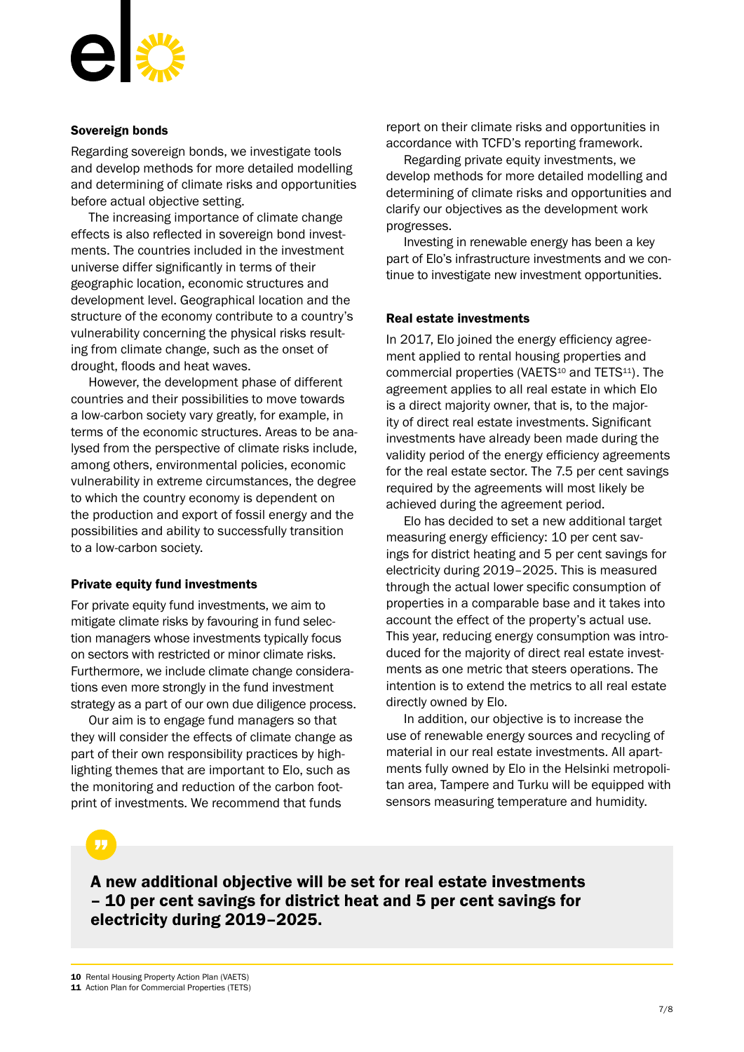![](_page_6_Picture_0.jpeg)

#### Sovereign bonds

Regarding sovereign bonds, we investigate tools and develop methods for more detailed modelling and determining of climate risks and opportunities before actual objective setting.

The increasing importance of climate change effects is also reflected in sovereign bond investments. The countries included in the investment universe differ significantly in terms of their geographic location, economic structures and development level. Geographical location and the structure of the economy contribute to a country's vulnerability concerning the physical risks resulting from climate change, such as the onset of drought, floods and heat waves.

However, the development phase of different countries and their possibilities to move towards a low-carbon society vary greatly, for example, in terms of the economic structures. Areas to be analysed from the perspective of climate risks include, among others, environmental policies, economic vulnerability in extreme circumstances, the degree to which the country economy is dependent on the production and export of fossil energy and the possibilities and ability to successfully transition to a low-carbon society.

#### Private equity fund investments

For private equity fund investments, we aim to mitigate climate risks by favouring in fund selection managers whose investments typically focus on sectors with restricted or minor climate risks. Furthermore, we include climate change considerations even more strongly in the fund investment strategy as a part of our own due diligence process.

Our aim is to engage fund managers so that they will consider the effects of climate change as part of their own responsibility practices by highlighting themes that are important to Elo, such as the monitoring and reduction of the carbon footprint of investments. We recommend that funds

report on their climate risks and opportunities in accordance with TCFD's reporting framework.

Regarding private equity investments, we develop methods for more detailed modelling and determining of climate risks and opportunities and clarify our objectives as the development work progresses.

Investing in renewable energy has been a key part of Elo's infrastructure investments and we continue to investigate new investment opportunities.

#### Real estate investments

In 2017, Elo joined the energy efficiency agreement applied to rental housing properties and commercial properties (VAETS<sup>10</sup> and TETS<sup>11</sup>). The agreement applies to all real estate in which Elo is a direct majority owner, that is, to the majority of direct real estate investments. Significant investments have already been made during the validity period of the energy efficiency agreements for the real estate sector. The 7.5 per cent savings required by the agreements will most likely be achieved during the agreement period.

Elo has decided to set a new additional target measuring energy efficiency: 10 per cent savings for district heating and 5 per cent savings for electricity during 2019–2025. This is measured through the actual lower specific consumption of properties in a comparable base and it takes into account the effect of the property's actual use. This year, reducing energy consumption was introduced for the majority of direct real estate investments as one metric that steers operations. The intention is to extend the metrics to all real estate directly owned by Elo.

In addition, our objective is to increase the use of renewable energy sources and recycling of material in our real estate investments. All apartments fully owned by Elo in the Helsinki metropolitan area, Tampere and Turku will be equipped with sensors measuring temperature and humidity.

A new additional objective will be set for real estate investments – 10 per cent savings for district heat and 5 per cent savings for electricity during 2019–2025.